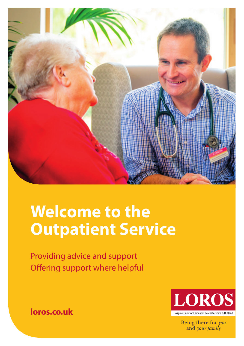

# **Welcome to the Outpatient Service**

Providing advice and support Offering support where helpful



Being there for you and your family

**loros.co.uk**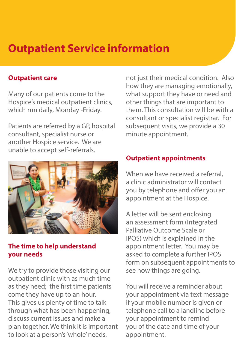## **Outpatient Service information**

#### **Outpatient care**

Many of our patients come to the Hospice's medical outpatient clinics, which run daily, Monday -Friday.

Patients are referred by a GP, hospital consultant, specialist nurse or another Hospice service. We are unable to accept self-referrals.



#### **The time to help understand your needs**

We try to provide those visiting our outpatient clinic with as much time as they need; the first time patients come they have up to an hour. This gives us plenty of time to talk through what has been happening, discuss current issues and make a plan together. We think it is important to look at a person's 'whole' needs,

not just their medical condition. Also how they are managing emotionally, what support they have or need and other things that are important to them. This consultation will be with a consultant or specialist registrar. For subsequent visits, we provide a 30 minute appointment.

#### **Outpatient appointments**

When we have received a referral. a clinic administrator will contact you by telephone and offer you an appointment at the Hospice.

A letter will be sent enclosing an assessment form (Integrated Palliative Outcome Scale or IPOS) which is explained in the appointment letter. You may be asked to complete a further IPOS form on subsequent appointments to see how things are going.

You will receive a reminder about your appointment via text message if your mobile number is given or telephone call to a landline before your appointment to remind you of the date and time of your appointment.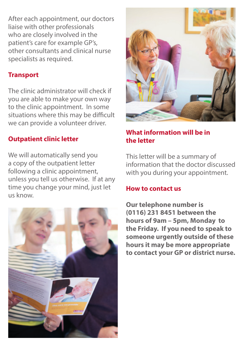After each appointment, our doctors liaise with other professionals who are closely involved in the patient's care for example GP's, other consultants and clinical nurse specialists as required.

#### **Transport**

The clinic administrator will check if you are able to make your own way to the clinic appointment. In some situations where this may be difficult we can provide a volunteer driver.

#### **Outpatient clinic letter**

We will automatically send you a copy of the outpatient letter following a clinic appointment, unless you tell us otherwise. If at any time you change your mind, just let us know.





#### **What information will be in the letter**

This letter will be a summary of information that the doctor discussed with you during your appointment.

#### **How to contact us**

**Our telephone number is (0116) 231 8451 between the hours of 9am – 5pm, Monday to the Friday. If you need to speak to someone urgently outside of these hours it may be more appropriate to contact your GP or district nurse.**